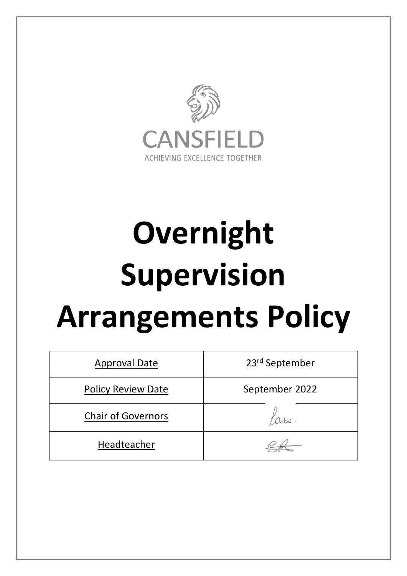

# **Overnight Supervision Arrangements Policy**

| <b>Approval Date</b>      | 23 <sup>rd</sup> September |
|---------------------------|----------------------------|
| <b>Policy Review Date</b> | September 2022             |
| <b>Chair of Governors</b> |                            |
| Headteacher               |                            |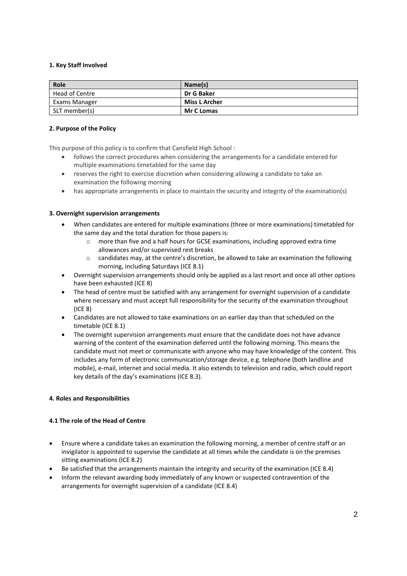# **1. Key Staff Involved**

| Role                 | Name(s)              |
|----------------------|----------------------|
| Head of Centre       | Dr G Baker           |
| <b>Exams Manager</b> | <b>Miss L Archer</b> |
| SLT member(s)        | <b>Mr C Lomas</b>    |

### **2. Purpose of the Policy**

This purpose of this policy is to confirm that Cansfield High School :

- follows the correct procedures when considering the arrangements for a candidate entered for multiple examinations timetabled for the same day
- reserves the right to exercise discretion when considering allowing a candidate to take an examination the following morning
- has appropriate arrangements in place to maintain the security and integrity of the examination(s)

## **3. Overnight supervision arrangements**

- When candidates are entered for multiple examinations (three or more examinations) timetabled for the same day and the total duration for those papers is:
	- more than five and a half hours for GCSE examinations, including approved extra time allowances and/or supervised rest breaks
	- $\circ$  candidates may, at the centre's discretion, be allowed to take an examination the following morning, including Saturdays (ICE 8.1)
- Overnight supervision arrangements should only be applied as a last resort and once all other options have been exhausted (ICE 8)
- The head of centre must be satisfied with any arrangement for overnight supervision of a candidate where necessary and must accept full responsibility for the security of the examination throughout (ICE 8)
- Candidates are not allowed to take examinations on an earlier day than that scheduled on the timetable (ICE 8.1)
- The overnight supervision arrangements must ensure that the candidate does not have advance warning of the content of the examination deferred until the following morning. This means the candidate must not meet or communicate with anyone who may have knowledge of the content. This includes any form of electronic communication/storage device, e.g. telephone (both landline and mobile), e-mail, internet and social media. It also extends to television and radio, which could report key details of the day's examinations (ICE 8.3).

## **4. Roles and Responsibilities**

## **4.1 The role of the Head of Centre**

- Ensure where a candidate takes an examination the following morning, a member of centre staff or an invigilator is appointed to supervise the candidate at all times while the candidate is on the premises sitting examinations (ICE 8.2)
- Be satisfied that the arrangements maintain the integrity and security of the examination (ICE 8.4)
- Inform the relevant awarding body immediately of any known or suspected contravention of the arrangements for overnight supervision of a candidate (ICE 8.4)